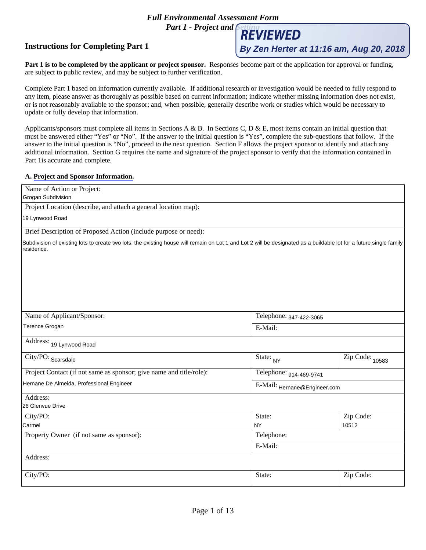# *Full Environmental Assessment Form*

*Part 1 - Project and REVIEWED* 

## **Instructions for Completing Part 1**

### **A. [Project and Sponsor Information.](http://www.dec.ny.gov/permits/91625.html)**

| Instructions for Completing Part 1                                                                                                                                                                                                                                                                                                                                                                                                                                                                                                                                                             |                              | By Zen Herter at 11:16 am, Aug 20, 2018 |
|------------------------------------------------------------------------------------------------------------------------------------------------------------------------------------------------------------------------------------------------------------------------------------------------------------------------------------------------------------------------------------------------------------------------------------------------------------------------------------------------------------------------------------------------------------------------------------------------|------------------------------|-----------------------------------------|
| Part 1 is to be completed by the applicant or project sponsor. Responses become part of the application for approval or funding,<br>are subject to public review, and may be subject to further verification.                                                                                                                                                                                                                                                                                                                                                                                  |                              |                                         |
| Complete Part 1 based on information currently available. If additional research or investigation would be needed to fully respond to<br>any item, please answer as thoroughly as possible based on current information; indicate whether missing information does not exist,<br>or is not reasonably available to the sponsor; and, when possible, generally describe work or studies which would be necessary to<br>update or fully develop that information.                                                                                                                                |                              |                                         |
| Applicants/sponsors must complete all items in Sections A & B. In Sections C, D & E, most items contain an initial question that<br>must be answered either "Yes" or "No". If the answer to the initial question is "Yes", complete the sub-questions that follow. If the<br>answer to the initial question is "No", proceed to the next question. Section F allows the project sponsor to identify and attach any<br>additional information. Section G requires the name and signature of the project sponsor to verify that the information contained in<br>Part 1 is accurate and complete. |                              |                                         |
| A. Project and Sponsor Information.                                                                                                                                                                                                                                                                                                                                                                                                                                                                                                                                                            |                              |                                         |
| Name of Action or Project:<br>Grogan Subdivision                                                                                                                                                                                                                                                                                                                                                                                                                                                                                                                                               |                              |                                         |
| Project Location (describe, and attach a general location map):                                                                                                                                                                                                                                                                                                                                                                                                                                                                                                                                |                              |                                         |
| 19 Lynwood Road                                                                                                                                                                                                                                                                                                                                                                                                                                                                                                                                                                                |                              |                                         |
| Brief Description of Proposed Action (include purpose or need):                                                                                                                                                                                                                                                                                                                                                                                                                                                                                                                                |                              |                                         |
| Subdivision of existing lots to create two lots, the existing house will remain on Lot 1 and Lot 2 will be designated as a buildable lot for a future single family<br>residence.                                                                                                                                                                                                                                                                                                                                                                                                              |                              |                                         |
|                                                                                                                                                                                                                                                                                                                                                                                                                                                                                                                                                                                                |                              |                                         |
| Name of Applicant/Sponsor:                                                                                                                                                                                                                                                                                                                                                                                                                                                                                                                                                                     | Telephone: 347-422-3065      |                                         |
| Terence Grogan                                                                                                                                                                                                                                                                                                                                                                                                                                                                                                                                                                                 | E-Mail:                      |                                         |
| Address: 19 Lynwood Road                                                                                                                                                                                                                                                                                                                                                                                                                                                                                                                                                                       |                              |                                         |
| $\overline{\text{City/PO}}$ : Scarsdale                                                                                                                                                                                                                                                                                                                                                                                                                                                                                                                                                        | State: $_{NY}$               | $\overline{\mathrm{Zip~Code:}}_{10583}$ |
| Project Contact (if not same as sponsor; give name and title/role):                                                                                                                                                                                                                                                                                                                                                                                                                                                                                                                            | Telephone: 914-469-9741      |                                         |
| Hernane De Almeida, Professional Engineer                                                                                                                                                                                                                                                                                                                                                                                                                                                                                                                                                      | E-Mail: Hernane@Engineer.com |                                         |
| Address:<br>26 Glenvue Drive                                                                                                                                                                                                                                                                                                                                                                                                                                                                                                                                                                   |                              |                                         |
| City/PO:                                                                                                                                                                                                                                                                                                                                                                                                                                                                                                                                                                                       | State:                       | Zip Code:                               |
| Carmel                                                                                                                                                                                                                                                                                                                                                                                                                                                                                                                                                                                         | <b>NY</b>                    | 10512                                   |
| Property Owner (if not same as sponsor):                                                                                                                                                                                                                                                                                                                                                                                                                                                                                                                                                       | Telephone:                   |                                         |
|                                                                                                                                                                                                                                                                                                                                                                                                                                                                                                                                                                                                | E-Mail:                      |                                         |
| Address:                                                                                                                                                                                                                                                                                                                                                                                                                                                                                                                                                                                       |                              |                                         |
| City/PO:                                                                                                                                                                                                                                                                                                                                                                                                                                                                                                                                                                                       | State:                       | Zip Code:                               |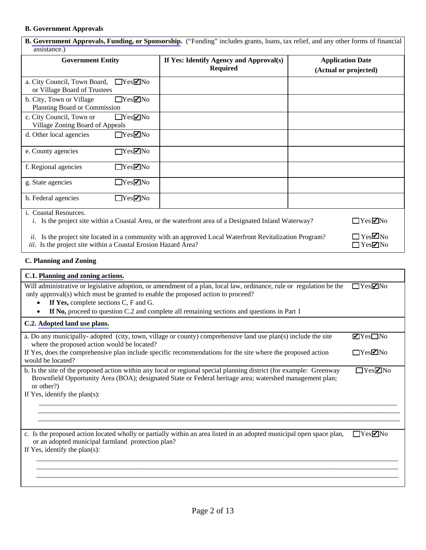# **B. Government Approvals**

| <b>B. Government Approvals, Funding, or Sponsorship.</b> ("Funding" includes grants, loans, tax relief, and any other forms of financial<br>assistance.) |                                                                                                              |                                                  |  |
|----------------------------------------------------------------------------------------------------------------------------------------------------------|--------------------------------------------------------------------------------------------------------------|--------------------------------------------------|--|
| <b>Government Entity</b>                                                                                                                                 | If Yes: Identify Agency and Approval(s)<br><b>Required</b>                                                   | <b>Application Date</b><br>(Actual or projected) |  |
| $\Box$ Yes $\neg$ No<br>a. City Council, Town Board,<br>or Village Board of Trustees                                                                     |                                                                                                              |                                                  |  |
| $\Box$ Yes $\Box$ No<br>b. City, Town or Village<br>Planning Board or Commission                                                                         |                                                                                                              |                                                  |  |
| c. City Council, Town or<br>$\Box$ Yes $\neg$ No<br>Village Zoning Board of Appeals                                                                      |                                                                                                              |                                                  |  |
| $\Box$ Yes $\Box$ No<br>d. Other local agencies                                                                                                          |                                                                                                              |                                                  |  |
| $\Box$ Yes $\Box$ No<br>e. County agencies                                                                                                               |                                                                                                              |                                                  |  |
| f. Regional agencies<br>$\Box$ Yes $\Box$ No                                                                                                             |                                                                                                              |                                                  |  |
| $\Box$ Yes $\Box$ No<br>g. State agencies                                                                                                                |                                                                                                              |                                                  |  |
| h. Federal agencies<br>$\Box$ Yes $\Box$ No                                                                                                              |                                                                                                              |                                                  |  |
| i. Coastal Resources.                                                                                                                                    | <i>i.</i> Is the project site within a Coastal Area, or the waterfront area of a Designated Inland Waterway? | $\Box$ Yes $\Box$ No                             |  |
| ii.<br>iii. Is the project site within a Coastal Erosion Hazard Area?                                                                                    | Is the project site located in a community with an approved Local Waterfront Revitalization Program?         | $\Box$ Yes $\Box$ No<br>$\Box$ Yes $\Box$ No     |  |

## **C. Planning and Zoning**

| C.1. Planning and zoning actions.                                                                                                                                                                                                                                                                                                               |                                 |
|-------------------------------------------------------------------------------------------------------------------------------------------------------------------------------------------------------------------------------------------------------------------------------------------------------------------------------------------------|---------------------------------|
| Will administrative or legislative adoption, or amendment of a plan, local law, ordinance, rule or regulation be the<br>only approval(s) which must be granted to enable the proposed action to proceed?<br>If Yes, complete sections C, F and G.<br>If No, proceed to question C.2 and complete all remaining sections and questions in Part 1 | $\Box$ Yes $\Box$ No            |
| C.2. Adopted land use plans.                                                                                                                                                                                                                                                                                                                    |                                 |
| a. Do any municipally-adopted (city, town, village or county) comprehensive land use plan(s) include the site<br>where the proposed action would be located?                                                                                                                                                                                    | $\blacksquare$ Yes $\square$ No |
| If Yes, does the comprehensive plan include specific recommendations for the site where the proposed action<br>would be located?                                                                                                                                                                                                                | $\Box$ Yes $\Box$ No            |
| b. Is the site of the proposed action within any local or regional special planning district (for example: Greenway<br>Brownfield Opportunity Area (BOA); designated State or Federal heritage area; watershed management plan;<br>or other?)<br>If Yes, identify the plan(s):                                                                  | $\Box$ Yes $\Box$ No            |
| c. Is the proposed action located wholly or partially within an area listed in an adopted municipal open space plan,<br>or an adopted municipal farmland protection plan?<br>If Yes, identify the plan $(s)$ :                                                                                                                                  | $\Box$ Yes $\neg$ No            |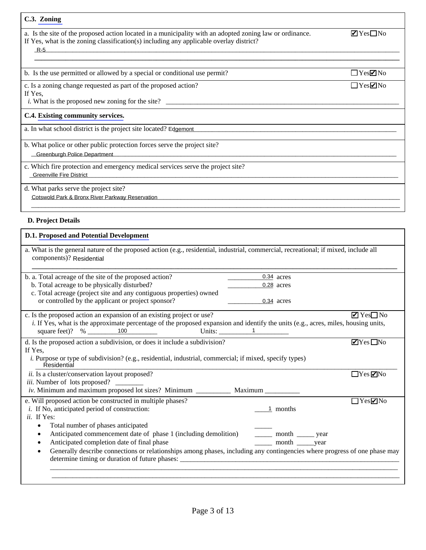| C.3. Zoning                                                                                                                                                                                                                                |                                 |
|--------------------------------------------------------------------------------------------------------------------------------------------------------------------------------------------------------------------------------------------|---------------------------------|
| a. Is the site of the proposed action located in a municipality with an adopted zoning law or ordinance.<br>If Yes, what is the zoning classification(s) including any applicable overlay district?<br>$R-5$                               | $\blacksquare$ Yes $\square$ No |
| b. Is the use permitted or allowed by a special or conditional use permit?                                                                                                                                                                 | $\Box$ Yes $\neg$ No            |
| c. Is a zoning change requested as part of the proposed action?<br>If Yes,                                                                                                                                                                 | $\Box$ Yes $\nabla$ No          |
| C.4. Existing community services.                                                                                                                                                                                                          |                                 |
| a. In what school district is the project site located? Edgemont                                                                                                                                                                           |                                 |
| b. What police or other public protection forces serve the project site?<br><b>Greenburgh Police Department</b>                                                                                                                            |                                 |
| c. Which fire protection and emergency medical services serve the project site?<br><b>Greenville Fire District</b><br><u> 1989 - Jan Samuel Barbara, margaret eta bat zen bat zen bat zen bat zen bat zen bat zen bat zen bat zen bat </u> |                                 |
| d. What parks serve the project site?<br>Cotswold Park & Bronx River Parkway Reservation                                                                                                                                                   |                                 |

## **D. Project Details**

| <b>D.1. Proposed and Potential Development</b> |  |
|------------------------------------------------|--|
|------------------------------------------------|--|

| a. What is the general nature of the proposed action (e.g., residential, industrial, commercial, recreational; if mixed, include all<br>components)? Residential |                                                                                                                                                                                                                                                                                                                                                                                                                                                  |
|------------------------------------------------------------------------------------------------------------------------------------------------------------------|--------------------------------------------------------------------------------------------------------------------------------------------------------------------------------------------------------------------------------------------------------------------------------------------------------------------------------------------------------------------------------------------------------------------------------------------------|
| b. a. Total acreage of the site of the proposed action?                                                                                                          | 0.34 acres                                                                                                                                                                                                                                                                                                                                                                                                                                       |
| b. Total acreage to be physically disturbed?                                                                                                                     | 0.28 acres                                                                                                                                                                                                                                                                                                                                                                                                                                       |
| c. Total acreage (project site and any contiguous properties) owned                                                                                              |                                                                                                                                                                                                                                                                                                                                                                                                                                                  |
| or controlled by the applicant or project sponsor?                                                                                                               | 0.34 acres                                                                                                                                                                                                                                                                                                                                                                                                                                       |
|                                                                                                                                                                  |                                                                                                                                                                                                                                                                                                                                                                                                                                                  |
| c. Is the proposed action an expansion of an existing project or use?                                                                                            | $\blacksquare$ Yes $\square$ No                                                                                                                                                                                                                                                                                                                                                                                                                  |
| i. If Yes, what is the approximate percentage of the proposed expansion and identify the units (e.g., acres, miles, housing units,                               |                                                                                                                                                                                                                                                                                                                                                                                                                                                  |
|                                                                                                                                                                  | Units: $\frac{1}{\sqrt{1-\frac{1}{2}} \cdot \frac{1}{\sqrt{1-\frac{1}{2}} \cdot \frac{1}{\sqrt{1-\frac{1}{2}} \cdot \frac{1}{\sqrt{1-\frac{1}{2}} \cdot \frac{1}{\sqrt{1-\frac{1}{2}} \cdot \frac{1}{\sqrt{1-\frac{1}{2}} \cdot \frac{1}{\sqrt{1-\frac{1}{2}} \cdot \frac{1}{\sqrt{1-\frac{1}{2}} \cdot \frac{1}{\sqrt{1-\frac{1}{2}} \cdot \frac{1}{\sqrt{1-\frac{1}{2}} \cdot \frac{1}{\sqrt{1-\frac{1}{2}} \cdot \frac{1}{\sqrt{1-\frac{1}{2$ |
| d. Is the proposed action a subdivision, or does it include a subdivision?                                                                                       | $\blacksquare$ Yes $\blacksquare$ No                                                                                                                                                                                                                                                                                                                                                                                                             |
| If Yes,                                                                                                                                                          |                                                                                                                                                                                                                                                                                                                                                                                                                                                  |
| <i>i.</i> Purpose or type of subdivision? (e.g., residential, industrial, commercial; if mixed, specify types)<br>Residential                                    |                                                                                                                                                                                                                                                                                                                                                                                                                                                  |
| <i>ii.</i> Is a cluster/conservation layout proposed?                                                                                                            | $\Box$ Yes $\nabla$ No                                                                                                                                                                                                                                                                                                                                                                                                                           |
| iii. Number of lots proposed?                                                                                                                                    |                                                                                                                                                                                                                                                                                                                                                                                                                                                  |
| iv. Minimum and maximum proposed lot sizes? Minimum _____________ Maximum _______                                                                                |                                                                                                                                                                                                                                                                                                                                                                                                                                                  |
| e. Will proposed action be constructed in multiple phases?                                                                                                       | $\Box$ Yes $\Box$ No                                                                                                                                                                                                                                                                                                                                                                                                                             |
| <i>i</i> . If No, anticipated period of construction:                                                                                                            | 1 months                                                                                                                                                                                                                                                                                                                                                                                                                                         |
| <i>ii</i> . If Yes:                                                                                                                                              |                                                                                                                                                                                                                                                                                                                                                                                                                                                  |
| Total number of phases anticipated<br>$\bullet$                                                                                                                  |                                                                                                                                                                                                                                                                                                                                                                                                                                                  |
| Anticipated commencement date of phase 1 (including demolition)<br>٠                                                                                             | _______ month _______ year                                                                                                                                                                                                                                                                                                                                                                                                                       |
| Anticipated completion date of final phase<br>٠                                                                                                                  | _______ month ________year                                                                                                                                                                                                                                                                                                                                                                                                                       |
| Generally describe connections or relationships among phases, including any contingencies where progress of one phase may<br>$\bullet$                           |                                                                                                                                                                                                                                                                                                                                                                                                                                                  |
|                                                                                                                                                                  |                                                                                                                                                                                                                                                                                                                                                                                                                                                  |
|                                                                                                                                                                  |                                                                                                                                                                                                                                                                                                                                                                                                                                                  |
|                                                                                                                                                                  |                                                                                                                                                                                                                                                                                                                                                                                                                                                  |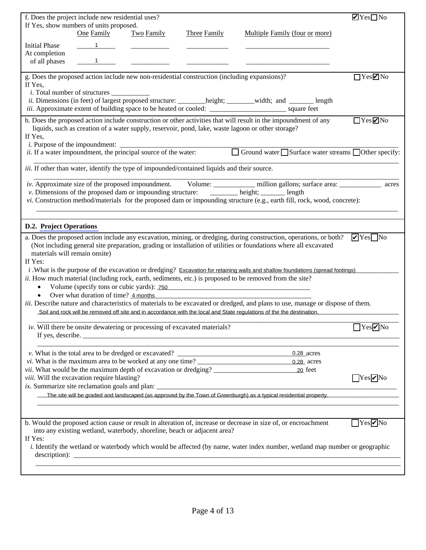|                                | f. Does the project include new residential uses?                                                 |                   |                                                                                                                                           |                                                                                                                                                                                                                                                                | $\blacksquare$ Yes $\square$ No  |
|--------------------------------|---------------------------------------------------------------------------------------------------|-------------------|-------------------------------------------------------------------------------------------------------------------------------------------|----------------------------------------------------------------------------------------------------------------------------------------------------------------------------------------------------------------------------------------------------------------|----------------------------------|
|                                | If Yes, show numbers of units proposed.                                                           |                   |                                                                                                                                           |                                                                                                                                                                                                                                                                |                                  |
|                                | One Family                                                                                        | <b>Two Family</b> | <b>Three Family</b>                                                                                                                       | Multiple Family (four or more)                                                                                                                                                                                                                                 |                                  |
| <b>Initial Phase</b>           |                                                                                                   |                   |                                                                                                                                           |                                                                                                                                                                                                                                                                |                                  |
| At completion                  | $\overline{1}$                                                                                    |                   |                                                                                                                                           |                                                                                                                                                                                                                                                                |                                  |
| of all phases                  |                                                                                                   |                   |                                                                                                                                           |                                                                                                                                                                                                                                                                |                                  |
|                                |                                                                                                   |                   | g. Does the proposed action include new non-residential construction (including expansions)?                                              |                                                                                                                                                                                                                                                                | $\Box$ Yes $\Box$ No             |
| If Yes,                        |                                                                                                   |                   |                                                                                                                                           |                                                                                                                                                                                                                                                                |                                  |
|                                |                                                                                                   |                   |                                                                                                                                           |                                                                                                                                                                                                                                                                |                                  |
|                                |                                                                                                   |                   |                                                                                                                                           | ii. Dimensions (in feet) of largest proposed structure: _______height; ______width; and ______ length                                                                                                                                                          |                                  |
|                                |                                                                                                   |                   |                                                                                                                                           |                                                                                                                                                                                                                                                                |                                  |
|                                |                                                                                                   |                   |                                                                                                                                           | h. Does the proposed action include construction or other activities that will result in the impoundment of any<br>liquids, such as creation of a water supply, reservoir, pond, lake, waste lagoon or other storage?                                          | $\Box$ Yes $\neg$ No             |
| If Yes,                        |                                                                                                   |                   |                                                                                                                                           |                                                                                                                                                                                                                                                                |                                  |
|                                |                                                                                                   |                   |                                                                                                                                           |                                                                                                                                                                                                                                                                |                                  |
|                                | $i.$ Purpose of the impoundment: $ii.$ If a water impoundment, the principal source of the water: |                   |                                                                                                                                           | Ground water Surface water streams Other specify:                                                                                                                                                                                                              |                                  |
|                                |                                                                                                   |                   |                                                                                                                                           |                                                                                                                                                                                                                                                                |                                  |
|                                |                                                                                                   |                   | <i>iii.</i> If other than water, identify the type of impounded/contained liquids and their source.                                       |                                                                                                                                                                                                                                                                |                                  |
|                                |                                                                                                   |                   |                                                                                                                                           |                                                                                                                                                                                                                                                                |                                  |
|                                |                                                                                                   |                   |                                                                                                                                           | <i>iv.</i> Approximate size of the proposed impoundment. Volume: __________ million gallons; surface area: __________ acres v. Dimensions of the proposed dam or impounding structure: ___________ height; ________ length                                     |                                  |
|                                |                                                                                                   |                   |                                                                                                                                           | vi. Construction method/materials for the proposed dam or impounding structure (e.g., earth fill, rock, wood, concrete):                                                                                                                                       |                                  |
|                                |                                                                                                   |                   |                                                                                                                                           |                                                                                                                                                                                                                                                                |                                  |
| <b>D.2. Project Operations</b> |                                                                                                   |                   |                                                                                                                                           |                                                                                                                                                                                                                                                                |                                  |
|                                |                                                                                                   |                   |                                                                                                                                           | a. Does the proposed action include any excavation, mining, or dredging, during construction, operations, or both?                                                                                                                                             | $\triangledown$ Yes $\square$ No |
|                                |                                                                                                   |                   |                                                                                                                                           | (Not including general site preparation, grading or installation of utilities or foundations where all excavated                                                                                                                                               |                                  |
| materials will remain onsite)  |                                                                                                   |                   |                                                                                                                                           |                                                                                                                                                                                                                                                                |                                  |
| If Yes:                        |                                                                                                   |                   |                                                                                                                                           |                                                                                                                                                                                                                                                                |                                  |
|                                |                                                                                                   |                   |                                                                                                                                           | $i$ . What is the purpose of the excavation or dredging? Excavation for retaining walls and shallow foundations (spread footings).                                                                                                                             |                                  |
|                                |                                                                                                   |                   |                                                                                                                                           | ii. How much material (including rock, earth, sediments, etc.) is proposed to be removed from the site?                                                                                                                                                        |                                  |
| $\bullet$                      |                                                                                                   |                   |                                                                                                                                           | Volume (specify tons or cubic yards): 750                                                                                                                                                                                                                      |                                  |
| $\bullet$                      | Over what duration of time? 4 months                                                              |                   |                                                                                                                                           |                                                                                                                                                                                                                                                                |                                  |
|                                |                                                                                                   |                   |                                                                                                                                           | <i>iii.</i> Describe nature and characteristics of materials to be excavated or dredged, and plans to use, manage or dispose of them.<br>Soil and rock will be removed off site and in accordance with the local and State regulations of the the destination. |                                  |
|                                |                                                                                                   |                   |                                                                                                                                           |                                                                                                                                                                                                                                                                |                                  |
|                                |                                                                                                   |                   | iv. Will there be onsite dewatering or processing of excavated materials?                                                                 |                                                                                                                                                                                                                                                                | $\Box$ Yes $\neg$ No             |
|                                |                                                                                                   |                   | If yes, describe. $\sqrt{\frac{2}{1-\frac{1}{2}}\left(\frac{1}{2}-\frac{1}{2}\right)^2}$                                                  |                                                                                                                                                                                                                                                                |                                  |
|                                |                                                                                                   |                   | <u> 1980 - Johann John Stone, markin amerikan basar dan berkembang di banyak di banyak di banyak di banyak di ba</u>                      |                                                                                                                                                                                                                                                                |                                  |
|                                |                                                                                                   |                   | v. What is the total area to be dredged or excavated?<br><i>vi</i> . What is the maximum area to be worked at any one time? $\frac{1}{1}$ | 0.28 acres                                                                                                                                                                                                                                                     |                                  |
|                                |                                                                                                   |                   |                                                                                                                                           | 0.28 acres<br><i>vii.</i> What would be the maximum depth of excavation or dredging? 20 feet                                                                                                                                                                   |                                  |
|                                | viii. Will the excavation require blasting?                                                       |                   |                                                                                                                                           |                                                                                                                                                                                                                                                                | $Yes$ No                         |
|                                |                                                                                                   |                   | ix. Summarize site reclamation goals and plan: __________________________________                                                         |                                                                                                                                                                                                                                                                |                                  |
|                                |                                                                                                   |                   |                                                                                                                                           | The site will be graded and landscaped (as approved by the Town of Greenburgh) as a typical residential property.                                                                                                                                              |                                  |
|                                |                                                                                                   |                   |                                                                                                                                           |                                                                                                                                                                                                                                                                |                                  |
|                                |                                                                                                   |                   |                                                                                                                                           |                                                                                                                                                                                                                                                                |                                  |
|                                |                                                                                                   |                   |                                                                                                                                           | b. Would the proposed action cause or result in alteration of, increase or decrease in size of, or encroachment                                                                                                                                                | $\Box$ Yes $\neg$ No             |
|                                |                                                                                                   |                   | into any existing wetland, waterbody, shoreline, beach or adjacent area?                                                                  |                                                                                                                                                                                                                                                                |                                  |
| If Yes:                        |                                                                                                   |                   |                                                                                                                                           | i. Identify the wetland or waterbody which would be affected (by name, water index number, wetland map number or geographic                                                                                                                                    |                                  |
|                                |                                                                                                   |                   |                                                                                                                                           |                                                                                                                                                                                                                                                                |                                  |
|                                |                                                                                                   |                   |                                                                                                                                           |                                                                                                                                                                                                                                                                |                                  |
|                                |                                                                                                   |                   |                                                                                                                                           |                                                                                                                                                                                                                                                                |                                  |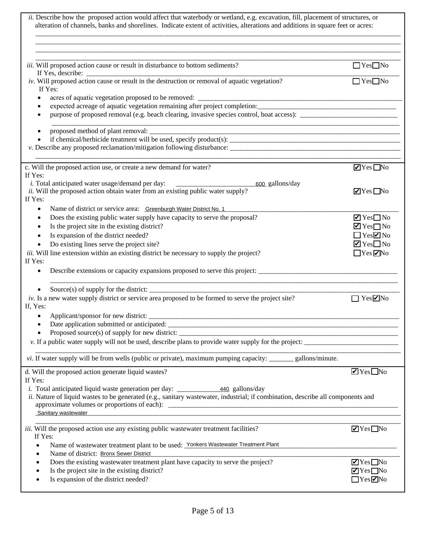| ii. Describe how the proposed action would affect that waterbody or wetland, e.g. excavation, fill, placement of structures, or<br>alteration of channels, banks and shorelines. Indicate extent of activities, alterations and additions in square feet or acres: |                                                                         |
|--------------------------------------------------------------------------------------------------------------------------------------------------------------------------------------------------------------------------------------------------------------------|-------------------------------------------------------------------------|
| iii. Will proposed action cause or result in disturbance to bottom sediments?<br>If Yes, describe:                                                                                                                                                                 | $\Box$ Yes $\Box$ No                                                    |
| iv. Will proposed action cause or result in the destruction or removal of aquatic vegetation?<br>If Yes:                                                                                                                                                           | $\Box$ Yes $\Box$ No                                                    |
| acres of aquatic vegetation proposed to be removed:                                                                                                                                                                                                                |                                                                         |
|                                                                                                                                                                                                                                                                    |                                                                         |
|                                                                                                                                                                                                                                                                    |                                                                         |
|                                                                                                                                                                                                                                                                    |                                                                         |
|                                                                                                                                                                                                                                                                    |                                                                         |
|                                                                                                                                                                                                                                                                    |                                                                         |
| c. Will the proposed action use, or create a new demand for water?                                                                                                                                                                                                 | $\blacksquare$ Yes $\blacksquare$ No                                    |
| If Yes:                                                                                                                                                                                                                                                            |                                                                         |
| <i>i</i> . Total anticipated water usage/demand per day:<br>600_gallons/day<br>ii. Will the proposed action obtain water from an existing public water supply?                                                                                                     | $\blacksquare$ Yes $\blacksquare$ No                                    |
| If Yes:                                                                                                                                                                                                                                                            |                                                                         |
| Name of district or service area: Greenburgh Water District No. 1<br>$\bullet$                                                                                                                                                                                     |                                                                         |
| Does the existing public water supply have capacity to serve the proposal?<br>٠                                                                                                                                                                                    | $\blacksquare$ Yes $\square$ No                                         |
| Is the project site in the existing district?<br>$\bullet$                                                                                                                                                                                                         | $\blacksquare$ Yes $\square$ No                                         |
| Is expansion of the district needed?<br>$\bullet$                                                                                                                                                                                                                  | $\Box$ Yes $\Box$ No                                                    |
| Do existing lines serve the project site?<br>$\bullet$                                                                                                                                                                                                             | $\blacksquare$ Yes $\square$ No                                         |
| <i>iii.</i> Will line extension within an existing district be necessary to supply the project?<br>If Yes:                                                                                                                                                         | $\Box$ Yes $\negthinspace \Box$ No                                      |
| Describe extensions or capacity expansions proposed to serve this project:<br>٠                                                                                                                                                                                    |                                                                         |
| Source(s) of supply for the district: $\frac{1}{\sqrt{2}}$                                                                                                                                                                                                         |                                                                         |
| $iv$ . Is a new water supply district or service area proposed to be formed to serve the project site?<br>If, Yes:                                                                                                                                                 | $\Box$ Yes $\negthinspace ZNo$                                          |
|                                                                                                                                                                                                                                                                    |                                                                         |
|                                                                                                                                                                                                                                                                    |                                                                         |
|                                                                                                                                                                                                                                                                    | <u> 1980 - Johann Barn, margaret eta idazlea (h. 1980).</u>             |
| v. If a public water supply will not be used, describe plans to provide water supply for the project:                                                                                                                                                              |                                                                         |
| vi. If water supply will be from wells (public or private), maximum pumping capacity: _______ gallons/minute.                                                                                                                                                      |                                                                         |
| d. Will the proposed action generate liquid wastes?                                                                                                                                                                                                                | $\blacksquare$ Yes $\Box$ No                                            |
| If Yes:                                                                                                                                                                                                                                                            |                                                                         |
| ii. Nature of liquid wastes to be generated (e.g., sanitary wastewater, industrial; if combination, describe all components and                                                                                                                                    |                                                                         |
|                                                                                                                                                                                                                                                                    |                                                                         |
| Sanitary wastewater                                                                                                                                                                                                                                                |                                                                         |
|                                                                                                                                                                                                                                                                    |                                                                         |
| iii. Will the proposed action use any existing public wastewater treatment facilities?<br>If Yes:                                                                                                                                                                  | $\blacksquare$ Yes $\blacksquare$ No                                    |
| Name of wastewater treatment plant to be used: Yonkers Wastewater Treatment Plant                                                                                                                                                                                  |                                                                         |
| Name of district: Bronx Sewer District                                                                                                                                                                                                                             |                                                                         |
| Does the existing wastewater treatment plant have capacity to serve the project?<br>Is the project site in the existing district?                                                                                                                                  | $\blacksquare$ Yes $\square$ No<br>$\blacksquare$ Yes $\blacksquare$ No |
| Is expansion of the district needed?                                                                                                                                                                                                                               | $\Box$ Yes $\Box$ No                                                    |
|                                                                                                                                                                                                                                                                    |                                                                         |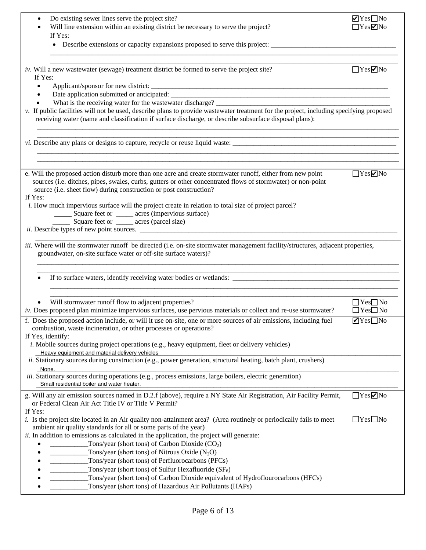| Do existing sewer lines serve the project site?                                                                                                                                                           | $\blacksquare$ Yes $\square$ No      |
|-----------------------------------------------------------------------------------------------------------------------------------------------------------------------------------------------------------|--------------------------------------|
| Will line extension within an existing district be necessary to serve the project?                                                                                                                        |                                      |
| If Yes:                                                                                                                                                                                                   |                                      |
| • Describe extensions or capacity expansions proposed to serve this project:                                                                                                                              |                                      |
|                                                                                                                                                                                                           |                                      |
| iv. Will a new wastewater (sewage) treatment district be formed to serve the project site?                                                                                                                | $\Box$ Yes $\Box$ No                 |
| If Yes:                                                                                                                                                                                                   |                                      |
|                                                                                                                                                                                                           |                                      |
| $\bullet$                                                                                                                                                                                                 |                                      |
| What is the receiving water for the wastewater discharge?<br>v. If public facilities will not be used, describe plans to provide wastewater treatment for the project, including specifying proposed      |                                      |
| receiving water (name and classification if surface discharge, or describe subsurface disposal plans):                                                                                                    |                                      |
|                                                                                                                                                                                                           |                                      |
| e. Will the proposed action disturb more than one acre and create stormwater runoff, either from new point                                                                                                | $\Box$ Yes $\neg$ No                 |
| sources (i.e. ditches, pipes, swales, curbs, gutters or other concentrated flows of stormwater) or non-point<br>source (i.e. sheet flow) during construction or post construction?<br>If Yes:             |                                      |
| <i>i.</i> How much impervious surface will the project create in relation to total size of project parcel?                                                                                                |                                      |
| ______ Square feet or ______ acres (impervious surface)                                                                                                                                                   |                                      |
| Square feet or ______ acres (parcel size)                                                                                                                                                                 |                                      |
|                                                                                                                                                                                                           |                                      |
|                                                                                                                                                                                                           |                                      |
| <i>iii.</i> Where will the stormwater runoff be directed (i.e. on-site stormwater management facility/structures, adjacent properties,<br>groundwater, on-site surface water or off-site surface waters)? |                                      |
|                                                                                                                                                                                                           |                                      |
|                                                                                                                                                                                                           |                                      |
|                                                                                                                                                                                                           |                                      |
|                                                                                                                                                                                                           |                                      |
| Will stormwater runoff flow to adjacent properties?                                                                                                                                                       | $\Box$ Yes $\Box$ No                 |
| iv. Does proposed plan minimize impervious surfaces, use pervious materials or collect and re-use stormwater?                                                                                             | $\Box$ Yes $\Box$ No                 |
| f. Does the proposed action include, or will it use on-site, one or more sources of air emissions, including fuel                                                                                         | $\blacksquare$ Yes $\blacksquare$ No |
| combustion, waste incineration, or other processes or operations?                                                                                                                                         |                                      |
| If Yes, identify:                                                                                                                                                                                         |                                      |
| <i>i</i> . Mobile sources during project operations (e.g., heavy equipment, fleet or delivery vehicles)                                                                                                   |                                      |
| Heavy equipment and material delivery vehicles                                                                                                                                                            |                                      |
| ii. Stationary sources during construction (e.g., power generation, structural heating, batch plant, crushers)                                                                                            |                                      |
| None.                                                                                                                                                                                                     |                                      |
| <i>iii.</i> Stationary sources during operations (e.g., process emissions, large boilers, electric generation)<br>Small residential boiler and water heater.                                              |                                      |
|                                                                                                                                                                                                           |                                      |
| g. Will any air emission sources named in D.2.f (above), require a NY State Air Registration, Air Facility Permit,<br>or Federal Clean Air Act Title IV or Title V Permit?<br>If Yes:                     | $\Box$ Yes $\Box$ No                 |
| <i>i.</i> Is the project site located in an Air quality non-attainment area? (Area routinely or periodically fails to meet                                                                                | $\Box$ Yes $\Box$ No                 |
| ambient air quality standards for all or some parts of the year)                                                                                                                                          |                                      |
| ii. In addition to emissions as calculated in the application, the project will generate:                                                                                                                 |                                      |
| Tons/year (short tons) of Carbon Dioxide $(CO2)$                                                                                                                                                          |                                      |
| Tons/year (short tons) of Nitrous Oxide $(N_2O)$                                                                                                                                                          |                                      |
| Tons/year (short tons) of Perfluorocarbons (PFCs)                                                                                                                                                         |                                      |
| Tons/year (short tons) of Sulfur Hexafluoride $(SF_6)$                                                                                                                                                    |                                      |
| Tons/year (short tons) of Carbon Dioxide equivalent of Hydroflourocarbons (HFCs)                                                                                                                          |                                      |
| Tons/year (short tons) of Hazardous Air Pollutants (HAPs)                                                                                                                                                 |                                      |
|                                                                                                                                                                                                           |                                      |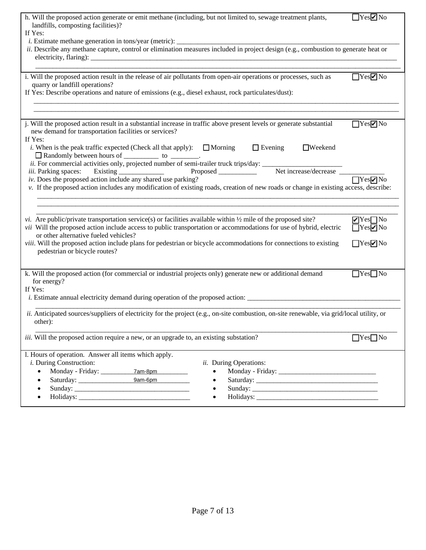| h. Will the proposed action generate or emit methane (including, but not limited to, sewage treatment plants,<br>landfills, composting facilities)?                                                                                          | $\Box$ Yes $\neg$ No |
|----------------------------------------------------------------------------------------------------------------------------------------------------------------------------------------------------------------------------------------------|----------------------|
| If Yes:                                                                                                                                                                                                                                      |                      |
|                                                                                                                                                                                                                                              |                      |
| ii. Describe any methane capture, control or elimination measures included in project design (e.g., combustion to generate heat or                                                                                                           |                      |
| i. Will the proposed action result in the release of air pollutants from open-air operations or processes, such as                                                                                                                           | YesVNo               |
| quarry or landfill operations?                                                                                                                                                                                                               |                      |
| If Yes: Describe operations and nature of emissions (e.g., diesel exhaust, rock particulates/dust):                                                                                                                                          |                      |
|                                                                                                                                                                                                                                              |                      |
|                                                                                                                                                                                                                                              |                      |
| j. Will the proposed action result in a substantial increase in traffic above present levels or generate substantial                                                                                                                         | $\Box$ Yes $\neg$ No |
| new demand for transportation facilities or services?<br>If Yes:                                                                                                                                                                             |                      |
| $\Box$ Evening<br><i>i</i> . When is the peak traffic expected (Check all that apply): $\Box$ Morning<br>$\Box$ Weekend                                                                                                                      |                      |
| <i>i.</i> When is the peak unity of $\Box$<br><i>ii.</i> For commercial activities only, projected number of semi-trailer truck trips/day:<br>The increase/decrease Fxisting Proposed Media only and the semi-trailer truck trips/day: Net i |                      |
|                                                                                                                                                                                                                                              |                      |
| iii. Parking spaces: Existing _______________                                                                                                                                                                                                |                      |
| iv. Does the proposed action include any shared use parking?                                                                                                                                                                                 |                      |
| v. If the proposed action includes any modification of existing roads, creation of new roads or change in existing access, describe:                                                                                                         |                      |
|                                                                                                                                                                                                                                              |                      |
|                                                                                                                                                                                                                                              |                      |
| <i>vi.</i> Are public/private transportation service(s) or facilities available within $\frac{1}{2}$ mile of the proposed site?                                                                                                              | $Yes$ No             |
| vii Will the proposed action include access to public transportation or accommodations for use of hybrid, electric<br>or other alternative fueled vehicles?                                                                                  | $Yes$ No             |
| viii. Will the proposed action include plans for pedestrian or bicycle accommodations for connections to existing                                                                                                                            | $T$ Yes $\nabla$ No  |
| pedestrian or bicycle routes?                                                                                                                                                                                                                |                      |
|                                                                                                                                                                                                                                              |                      |
| k. Will the proposed action (for commercial or industrial projects only) generate new or additional demand                                                                                                                                   | $\Box$ Yes $\Box$ No |
| for energy?                                                                                                                                                                                                                                  |                      |
| If Yes:                                                                                                                                                                                                                                      |                      |
|                                                                                                                                                                                                                                              |                      |
| ii. Anticipated sources/suppliers of electricity for the project (e.g., on-site combustion, on-site renewable, via grid/local utility, or                                                                                                    |                      |
| other):                                                                                                                                                                                                                                      |                      |
|                                                                                                                                                                                                                                              |                      |
| iii. Will the proposed action require a new, or an upgrade to, an existing substation?                                                                                                                                                       | $\Box$ Yes $\Box$ No |
|                                                                                                                                                                                                                                              |                      |
| l. Hours of operation. Answer all items which apply.<br><i>i</i> . During Construction:<br>ii. During Operations:                                                                                                                            |                      |
| 7am-8pm                                                                                                                                                                                                                                      |                      |
| 9am-6pm                                                                                                                                                                                                                                      |                      |
|                                                                                                                                                                                                                                              |                      |
|                                                                                                                                                                                                                                              |                      |
|                                                                                                                                                                                                                                              |                      |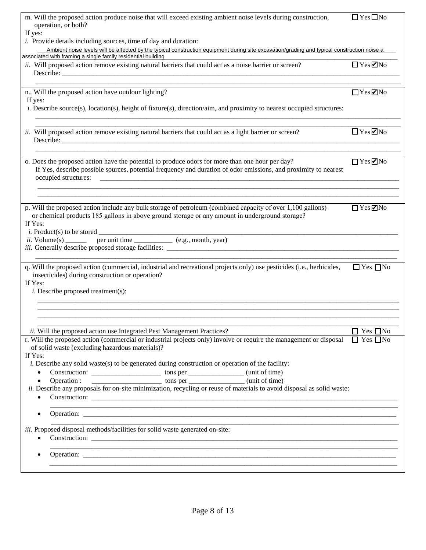| m. Will the proposed action produce noise that will exceed existing ambient noise levels during construction,<br>operation, or both?                                                                                                       | $\Box$ Yes $\Box$ No |
|--------------------------------------------------------------------------------------------------------------------------------------------------------------------------------------------------------------------------------------------|----------------------|
| If yes:<br><i>i.</i> Provide details including sources, time of day and duration:                                                                                                                                                          |                      |
| Ambient noise levels will be affected by the typical construction equipment during site excavation/grading and typical construction noise a                                                                                                |                      |
| associated with framing a single family residential building                                                                                                                                                                               |                      |
| <i>ii.</i> Will proposed action remove existing natural barriers that could act as a noise barrier or screen?                                                                                                                              | $\Box$ Yes $\Box$ No |
|                                                                                                                                                                                                                                            |                      |
|                                                                                                                                                                                                                                            |                      |
| n Will the proposed action have outdoor lighting?                                                                                                                                                                                          | $\Box$ Yes $\Box$ No |
| If yes:<br><i>i.</i> Describe source(s), location(s), height of fixture(s), direction/aim, and proximity to nearest occupied structures:                                                                                                   |                      |
| ii. Will proposed action remove existing natural barriers that could act as a light barrier or screen?                                                                                                                                     | $\Box$ Yes $\Box$ No |
| o. Does the proposed action have the potential to produce odors for more than one hour per day?<br>If Yes, describe possible sources, potential frequency and duration of odor emissions, and proximity to nearest<br>occupied structures: | $\Box$ Yes $\Box$ No |
| p. Will the proposed action include any bulk storage of petroleum (combined capacity of over 1,100 gallons)                                                                                                                                | $\Box$ Yes $\Box$ No |
| or chemical products 185 gallons in above ground storage or any amount in underground storage?<br>If Yes:<br><i>i.</i> Product(s) to be stored $\frac{1}{\text{per unit time}}$ (e.g., month, year)<br>ii. Volume(s)                       |                      |
|                                                                                                                                                                                                                                            |                      |
| q. Will the proposed action (commercial, industrial and recreational projects only) use pesticides (i.e., herbicides,<br>insecticides) during construction or operation?<br>If Yes:<br><i>i</i> . Describe proposed treatment(s):          | $\Box$ Yes $\Box$ No |
|                                                                                                                                                                                                                                            |                      |
| ii. Will the proposed action use Integrated Pest Management Practices?                                                                                                                                                                     | $\Box$ Yes $\Box$ No |
| r. Will the proposed action (commercial or industrial projects only) involve or require the management or disposal<br>of solid waste (excluding hazardous materials)?<br>If Yes:                                                           | $\Box$ Yes $\Box$ No |
| <i>i.</i> Describe any solid waste(s) to be generated during construction or operation of the facility:                                                                                                                                    |                      |
| $\bullet$                                                                                                                                                                                                                                  |                      |
| $\bullet$                                                                                                                                                                                                                                  |                      |
| ii. Describe any proposals for on-site minimization, recycling or reuse of materials to avoid disposal as solid waste:<br>$\bullet$                                                                                                        |                      |
| ,我们的人们就会在这里,我们的人们就会在这里,我们的人们就会在这里,我们的人们就会在这里,我们的人们就会在这里,我们的人们就会在这里,我们的人们就会在这里,我们<br>$\bullet$                                                                                                                                              |                      |
| iii. Proposed disposal methods/facilities for solid waste generated on-site:<br>$\bullet$                                                                                                                                                  |                      |
|                                                                                                                                                                                                                                            |                      |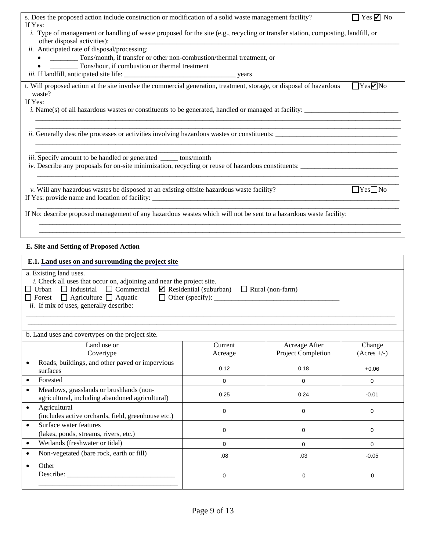| s. Does the proposed action include construction or modification of a solid waste management facility?<br>$\Box$ Yes $\Box$ No<br>If Yes:                                                                                                                                                               |             |                    |                                                         |  |
|---------------------------------------------------------------------------------------------------------------------------------------------------------------------------------------------------------------------------------------------------------------------------------------------------------|-------------|--------------------|---------------------------------------------------------|--|
| <i>i.</i> Type of management or handling of waste proposed for the site (e.g., recycling or transfer station, composting, landfill, or                                                                                                                                                                  |             |                    |                                                         |  |
| other disposal activities):<br>ii. Anticipated rate of disposal/processing:                                                                                                                                                                                                                             |             |                    |                                                         |  |
| Tons/month, if transfer or other non-combustion/thermal treatment, or                                                                                                                                                                                                                                   |             |                    |                                                         |  |
| Tons/hour, if combustion or thermal treatment                                                                                                                                                                                                                                                           |             |                    |                                                         |  |
| t. Will proposed action at the site involve the commercial generation, treatment, storage, or disposal of hazardous                                                                                                                                                                                     |             |                    | $\Box$ Yes $\negthinspace\negthinspace\negthinspace$ No |  |
| waste?<br>If Yes:                                                                                                                                                                                                                                                                                       |             |                    |                                                         |  |
| <i>i.</i> Name(s) of all hazardous wastes or constituents to be generated, handled or managed at facility:                                                                                                                                                                                              |             |                    |                                                         |  |
| <i>ii.</i> Generally describe processes or activities involving hazardous wastes or constituents:                                                                                                                                                                                                       |             |                    |                                                         |  |
| iii. Specify amount to be handled or generated _____ tons/month                                                                                                                                                                                                                                         |             |                    |                                                         |  |
| v. Will any hazardous wastes be disposed at an existing offsite hazardous waste facility?                                                                                                                                                                                                               |             |                    | $\Box$ Yes $\Box$ No                                    |  |
| If No: describe proposed management of any hazardous wastes which will not be sent to a hazardous waste facility:                                                                                                                                                                                       |             |                    |                                                         |  |
|                                                                                                                                                                                                                                                                                                         |             |                    |                                                         |  |
| E. Site and Setting of Proposed Action                                                                                                                                                                                                                                                                  |             |                    |                                                         |  |
|                                                                                                                                                                                                                                                                                                         |             |                    |                                                         |  |
| E.1. Land uses on and surrounding the project site                                                                                                                                                                                                                                                      |             |                    |                                                         |  |
| a. Existing land uses.<br>i. Check all uses that occur on, adjoining and near the project site.<br>$\Box$ Urban $\Box$ Industrial $\Box$ Commercial $\Box$ Residential (suburban) $\Box$ Rural (non-farm)<br>$\Box$ Forest $\Box$ Agriculture $\Box$ Aquatic<br>ii. If mix of uses, generally describe: |             |                    |                                                         |  |
|                                                                                                                                                                                                                                                                                                         |             |                    |                                                         |  |
| b. Land uses and covertypes on the project site.                                                                                                                                                                                                                                                        |             |                    |                                                         |  |
| Land use or                                                                                                                                                                                                                                                                                             | Current     | Acreage After      | Change                                                  |  |
| Covertype                                                                                                                                                                                                                                                                                               | Acreage     | Project Completion | $(Acres +/-)$                                           |  |
| Roads, buildings, and other paved or impervious<br>$\bullet$<br>surfaces                                                                                                                                                                                                                                | 0.12        | 0.18               | $+0.06$                                                 |  |
| Forested<br>$\bullet$                                                                                                                                                                                                                                                                                   | $\mathbf 0$ | 0                  | $\mathbf 0$                                             |  |
| Meadows, grasslands or brushlands (non-<br>$\bullet$<br>agricultural, including abandoned agricultural)                                                                                                                                                                                                 | 0.25        | 0.24               | $-0.01$                                                 |  |
| Agricultural<br>$\bullet$<br>(includes active orchards, field, greenhouse etc.)                                                                                                                                                                                                                         | 0           | 0                  | $\mathbf 0$                                             |  |
| Surface water features<br>$\bullet$<br>(lakes, ponds, streams, rivers, etc.)                                                                                                                                                                                                                            | 0           | 0                  | $\mathbf 0$                                             |  |
| Wetlands (freshwater or tidal)<br>$\bullet$                                                                                                                                                                                                                                                             | $\mathbf 0$ | 0                  | $\Omega$                                                |  |
| Non-vegetated (bare rock, earth or fill)<br>$\bullet$                                                                                                                                                                                                                                                   | .08         | .03                | $-0.05$                                                 |  |
| Other<br>$\bullet$<br>0<br>0<br>0                                                                                                                                                                                                                                                                       |             |                    |                                                         |  |
|                                                                                                                                                                                                                                                                                                         |             |                    |                                                         |  |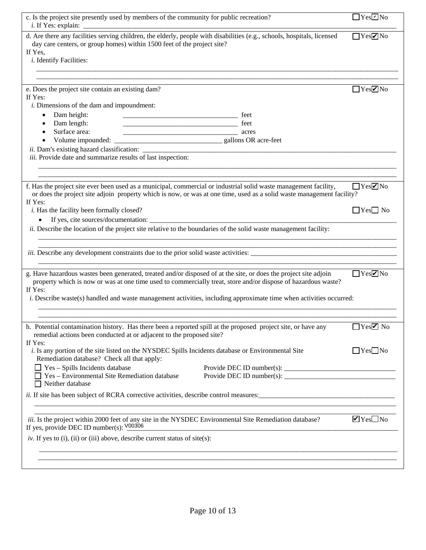| c. Is the project site presently used by members of the community for public recreation?                                                                                                                                                             | $\Box$ Yes $\overline{\Box}$ No                                                                 |
|------------------------------------------------------------------------------------------------------------------------------------------------------------------------------------------------------------------------------------------------------|-------------------------------------------------------------------------------------------------|
| d. Are there any facilities serving children, the elderly, people with disabilities (e.g., schools, hospitals, licensed<br>day care centers, or group homes) within 1500 feet of the project site?<br>If Yes,<br><i>i</i> . Identify Facilities:     | $Yes$ No                                                                                        |
|                                                                                                                                                                                                                                                      |                                                                                                 |
| e. Does the project site contain an existing dam?<br>If Yes:                                                                                                                                                                                         | $\Box$ Yes $\negthinspace\negthinspace\negthinspace\negthinspace\negthinspace\negthinspace N$ o |
| <i>i</i> . Dimensions of the dam and impoundment:                                                                                                                                                                                                    |                                                                                                 |
| Dam height:                                                                                                                                                                                                                                          |                                                                                                 |
| Dam length:                                                                                                                                                                                                                                          |                                                                                                 |
| Surface area:<br>$\overline{\phantom{a}}$ acres                                                                                                                                                                                                      |                                                                                                 |
|                                                                                                                                                                                                                                                      |                                                                                                 |
| <i>ii.</i> Dam's existing hazard classification:<br>iii. Provide date and summarize results of last inspection:                                                                                                                                      |                                                                                                 |
|                                                                                                                                                                                                                                                      |                                                                                                 |
|                                                                                                                                                                                                                                                      |                                                                                                 |
|                                                                                                                                                                                                                                                      |                                                                                                 |
| f. Has the project site ever been used as a municipal, commercial or industrial solid waste management facility,<br>or does the project site adjoin property which is now, or was at one time, used as a solid waste management facility?<br>If Yes: | $\Box$ Yes $\neg$ No                                                                            |
| <i>i</i> . Has the facility been formally closed?                                                                                                                                                                                                    | $\Box$ Yes $\Box$ No                                                                            |
| $\bullet$                                                                                                                                                                                                                                            |                                                                                                 |
| ii. Describe the location of the project site relative to the boundaries of the solid waste management facility:                                                                                                                                     |                                                                                                 |
|                                                                                                                                                                                                                                                      |                                                                                                 |
|                                                                                                                                                                                                                                                      |                                                                                                 |
| g. Have hazardous wastes been generated, treated and/or disposed of at the site, or does the project site adjoin<br>property which is now or was at one time used to commercially treat, store and/or dispose of hazardous waste?                    | $\Box$ Yes $\negthinspace ZNo$                                                                  |
| If Yes:<br><i>i.</i> Describe waste(s) handled and waste management activities, including approximate time when activities occurred:                                                                                                                 |                                                                                                 |
|                                                                                                                                                                                                                                                      |                                                                                                 |
|                                                                                                                                                                                                                                                      |                                                                                                 |
| h. Potential contamination history. Has there been a reported spill at the proposed project site, or have any<br>remedial actions been conducted at or adjacent to the proposed site?                                                                | $\Box$ Yes $\neg$ No                                                                            |
| If Yes:<br>i. Is any portion of the site listed on the NYSDEC Spills Incidents database or Environmental Site<br>Remediation database? Check all that apply:                                                                                         | $\Box$ Yes $\Box$ No                                                                            |
| $\Box$ Yes – Spills Incidents database                                                                                                                                                                                                               |                                                                                                 |
| Yes - Environmental Site Remediation database<br>Neither database                                                                                                                                                                                    |                                                                                                 |
|                                                                                                                                                                                                                                                      |                                                                                                 |
| <i>iii.</i> Is the project within 2000 feet of any site in the NYSDEC Environmental Site Remediation database?<br>If yes, provide DEC ID number(s): $\frac{V00306}{V00306}$                                                                          | $\blacksquare$ Yes $\square$ No                                                                 |
| iv. If yes to (i), (ii) or (iii) above, describe current status of site(s):                                                                                                                                                                          |                                                                                                 |
|                                                                                                                                                                                                                                                      |                                                                                                 |
|                                                                                                                                                                                                                                                      |                                                                                                 |
|                                                                                                                                                                                                                                                      |                                                                                                 |
|                                                                                                                                                                                                                                                      |                                                                                                 |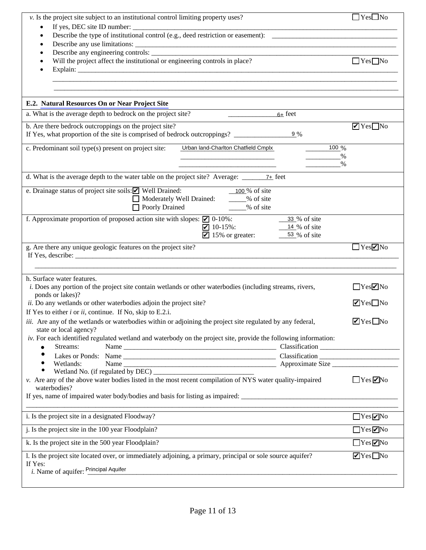| v. Is the project site subject to an institutional control limiting property uses?                                                                                              | $\Box$ Yes $\Box$ No            |
|---------------------------------------------------------------------------------------------------------------------------------------------------------------------------------|---------------------------------|
| $\bullet$                                                                                                                                                                       |                                 |
| $\bullet$                                                                                                                                                                       |                                 |
| $\bullet$<br>Will the project affect the institutional or engineering controls in place?                                                                                        | $\Box$ Yes $\Box$ No            |
|                                                                                                                                                                                 |                                 |
| E.2. Natural Resources On or Near Project Site                                                                                                                                  |                                 |
| a. What is the average depth to bedrock on the project site?<br>$6+$ feet                                                                                                       |                                 |
| b. Are there bedrock outcroppings on the project site?<br>If Yes, what proportion of the site is comprised of bedrock outcroppings?<br>9 %                                      | $\blacksquare$ Yes $\square$ No |
| c. Predominant soil type(s) present on project site:<br>$100\%$<br>Urban land-Charlton Chatfield Cmplx<br>$\frac{1}{1}$                                                         | %<br>$\%$                       |
| d. What is the average depth to the water table on the project site? Average: $\frac{7}{2}$ feet                                                                                |                                 |
| $\frac{100}{\%}$ of site<br>e. Drainage status of project site soils: ■ Well Drained:<br>Moderately Well Drained: _____% of site<br>□ Poorly Drained 2000 % of site             |                                 |
| f. Approximate proportion of proposed action site with slopes: $\Box$ 0-10%:<br>33 % of site<br>$10-15\%$ :<br>$14\%$ of site<br>$\blacksquare$ 15% or greater:<br>53 % of site |                                 |
| g. Are there any unique geologic features on the project site?                                                                                                                  | $\Box$ Yes $\neg$ No            |
| h. Surface water features.<br>i. Does any portion of the project site contain wetlands or other waterbodies (including streams, rivers,                                         | YesVNo                          |
| ponds or lakes)?<br>ii. Do any wetlands or other waterbodies adjoin the project site?                                                                                           | $\blacksquare$ Yes $\square$ No |
| If Yes to either $i$ or $ii$ , continue. If No, skip to E.2.i.                                                                                                                  |                                 |
| iii. Are any of the wetlands or waterbodies within or adjoining the project site regulated by any federal,<br>state or local agency?                                            | $\blacksquare$ Yes $\square$ No |
| iv. For each identified regulated wetland and waterbody on the project site, provide the following information:<br>Streams:<br>$\bullet$                                        |                                 |
| $\bullet$                                                                                                                                                                       |                                 |
| Wetlands:<br>٠                                                                                                                                                                  |                                 |
| $\bullet$<br>v. Are any of the above water bodies listed in the most recent compilation of NYS water quality-impaired<br>waterbodies?                                           | $\Box$ Yes $\Box$ No            |
| If yes, name of impaired water body/bodies and basis for listing as impaired:                                                                                                   |                                 |
| i. Is the project site in a designated Floodway?                                                                                                                                | $\Box$ Yes $\neg$ No            |
| j. Is the project site in the 100 year Floodplain?                                                                                                                              | $\Box$ Yes $\neg$ No            |
| k. Is the project site in the 500 year Floodplain?                                                                                                                              | $\Box$ Yes $\Box$ No            |
| 1. Is the project site located over, or immediately adjoining, a primary, principal or sole source aquifer?<br>If Yes:                                                          | $\blacksquare$ Yes $\square$ No |
| i. Name of aquifer: Principal Aquifer                                                                                                                                           |                                 |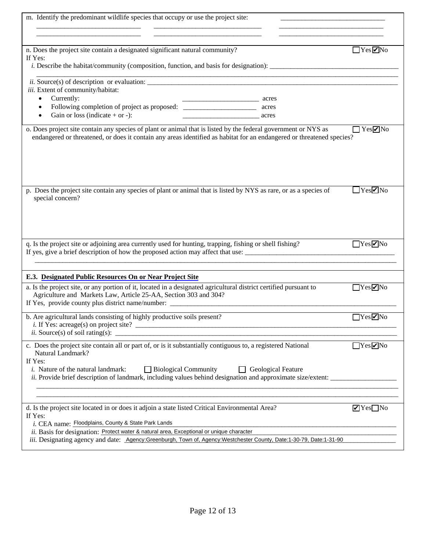| m. Identify the predominant wildlife species that occupy or use the project site:                                                                                                                                                                                                                                                                                               |                                                   |  |
|---------------------------------------------------------------------------------------------------------------------------------------------------------------------------------------------------------------------------------------------------------------------------------------------------------------------------------------------------------------------------------|---------------------------------------------------|--|
|                                                                                                                                                                                                                                                                                                                                                                                 |                                                   |  |
|                                                                                                                                                                                                                                                                                                                                                                                 |                                                   |  |
| n. Does the project site contain a designated significant natural community?<br>If Yes:                                                                                                                                                                                                                                                                                         | $\Box$ Yes $\negthinspace \blacktriangleright$ No |  |
| <i>i.</i> Describe the habitat/community (composition, function, and basis for designation):                                                                                                                                                                                                                                                                                    |                                                   |  |
| <i>ii.</i> Source(s) of description or evaluation:                                                                                                                                                                                                                                                                                                                              |                                                   |  |
| iii. Extent of community/habitat:                                                                                                                                                                                                                                                                                                                                               |                                                   |  |
| Currently:<br>$\bullet$<br>acres                                                                                                                                                                                                                                                                                                                                                |                                                   |  |
| Following completion of project as proposed: ___________________________________<br>acres<br>$\bullet$                                                                                                                                                                                                                                                                          |                                                   |  |
| Gain or loss (indicate $+$ or $-$ ):<br>$\bullet$<br>acres                                                                                                                                                                                                                                                                                                                      |                                                   |  |
| o. Does project site contain any species of plant or animal that is listed by the federal government or NYS as<br>endangered or threatened, or does it contain any areas identified as habitat for an endangered or threatened species?                                                                                                                                         | $\Box$ Yes $\neg$ No                              |  |
| p. Does the project site contain any species of plant or animal that is listed by NYS as rare, or as a species of<br>special concern?                                                                                                                                                                                                                                           | $\Box$ Yes $\nabla$ No                            |  |
| q. Is the project site or adjoining area currently used for hunting, trapping, fishing or shell fishing?<br>If yes, give a brief description of how the proposed action may affect that use:                                                                                                                                                                                    | YesVNo                                            |  |
| E.3. Designated Public Resources On or Near Project Site                                                                                                                                                                                                                                                                                                                        |                                                   |  |
| a. Is the project site, or any portion of it, located in a designated agricultural district certified pursuant to<br>Agriculture and Markets Law, Article 25-AA, Section 303 and 304?<br>If Yes, provide county plus district name/number: ______________________________                                                                                                       | $\Box$ Yes $\nabla$ No                            |  |
| b. Are agricultural lands consisting of highly productive soils present?<br><i>ii.</i> Source(s) of soil rating(s): $\overline{\phantom{a}}$                                                                                                                                                                                                                                    | $\Box$ Yes $\neg$ No                              |  |
| c. Does the project site contain all or part of, or is it substantially contiguous to, a registered National<br>Natural Landmark?<br>If Yes:<br><i>i</i> . Nature of the natural landmark:<br>$\Box$ Biological Community<br>Geological Feature<br>$\Box$<br><i>ii.</i> Provide brief description of landmark, including values behind designation and approximate size/extent: | YesVNo                                            |  |
| d. Is the project site located in or does it adjoin a state listed Critical Environmental Area?<br>If Yes:<br>i. CEA name: Floodplains, County & State Park Lands<br>ii. Basis for designation: Protect water & natural area, Exceptional or unique character                                                                                                                   | $\blacksquare$ Yes $\blacksquare$ No              |  |
| iii. Designating agency and date: Agency:Greenburgh, Town of, Agency:Westchester County, Date:1-30-79, Date:1-31-90                                                                                                                                                                                                                                                             |                                                   |  |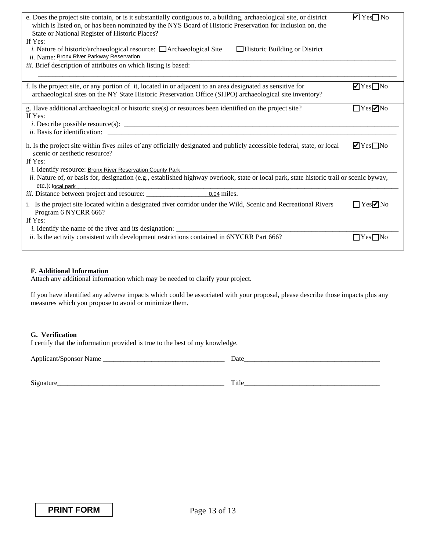| e. Does the project site contain, or is it substantially contiguous to, a building, archaeological site, or district<br>which is listed on, or has been nominated by the NYS Board of Historic Preservation for inclusion on, the<br>State or National Register of Historic Places?                                                                                                        | $\blacksquare$ Yes $\square$ No |
|--------------------------------------------------------------------------------------------------------------------------------------------------------------------------------------------------------------------------------------------------------------------------------------------------------------------------------------------------------------------------------------------|---------------------------------|
| If Yes:<br><i>i.</i> Nature of historic/archaeological resource: $\Box$ Archaeological Site<br>$\Box$ Historic Building or District<br>ii. Name: Bronx River Parkway Reservation                                                                                                                                                                                                           |                                 |
| iii. Brief description of attributes on which listing is based:                                                                                                                                                                                                                                                                                                                            |                                 |
| f. Is the project site, or any portion of it, located in or adjacent to an area designated as sensitive for<br>archaeological sites on the NY State Historic Preservation Office (SHPO) archaeological site inventory?                                                                                                                                                                     | $\blacksquare$ Yes $\square$ No |
| g. Have additional archaeological or historic site(s) or resources been identified on the project site?<br>If Yes:<br><i>ii.</i> Basis for identification:                                                                                                                                                                                                                                 | $\Box$ Yes $\Box$ No            |
| h. Is the project site within fives miles of any officially designated and publicly accessible federal, state, or local<br>scenic or aesthetic resource?<br>If Yes:<br><i>i.</i> Identify resource: <b>Bronx River Reservation County Park</b><br>ii. Nature of, or basis for, designation (e.g., established highway overlook, state or local park, state historic trail or scenic byway, | $\blacksquare$ Yes $\square$ No |
| etc.): local park                                                                                                                                                                                                                                                                                                                                                                          |                                 |
| i. Is the project site located within a designated river corridor under the Wild, Scenic and Recreational Rivers<br>Program 6 NYCRR 666?<br>If Yes:                                                                                                                                                                                                                                        | $\Box$ Yes $\nabla$ No          |
| ii. Is the activity consistent with development restrictions contained in 6NYCRR Part 666?                                                                                                                                                                                                                                                                                                 | l IYesl INo                     |

### **F. [Additional Information](http://www.dec.ny.gov/permits/91680.html)**

Attach any additional information which may be needed to clarify your project.

If you have identified any adverse impacts which could be associated with your proposal, please describe those impacts plus any measures which you propose to avoid or minimize them.

#### **G. [Verification](http://www.dec.ny.gov/permits/91685.html)**

I certify that the information provided is true to the best of my knowledge.

Applicant/Sponsor Name \_\_\_\_\_\_\_\_\_\_\_\_\_\_\_\_\_\_\_\_\_\_\_\_\_\_\_\_\_\_\_\_\_\_\_ Date\_\_\_\_\_\_\_\_\_\_\_\_\_\_\_\_\_\_\_\_\_\_\_\_\_\_\_\_\_\_\_\_\_\_\_\_\_\_\_

Signature\_\_\_\_\_\_\_\_\_\_\_\_\_\_\_\_\_\_\_\_\_\_\_\_\_\_\_\_\_\_\_\_\_\_\_\_\_\_\_\_\_\_\_\_\_\_\_\_ Title\_\_\_\_\_\_\_\_\_\_\_\_\_\_\_\_\_\_\_\_\_\_\_\_\_\_\_\_\_\_\_\_\_\_\_\_\_\_\_

**PRINT FORM**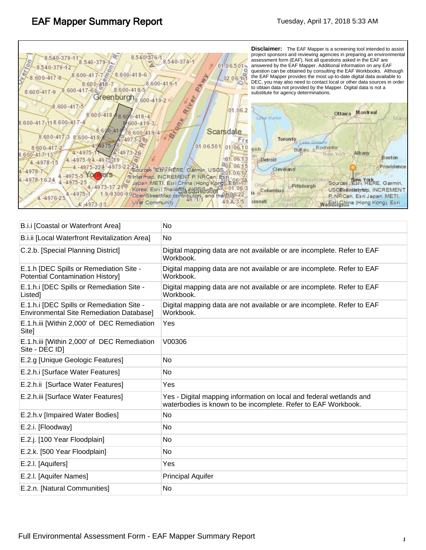| 8.600-418-6<br>$.600 - 417 - 7$<br>$600 - 417 - 8$<br>02.06.14<br>$8.600 - 419 - 1$<br>$8:600 - 418 - 7$<br>8.600-418-5<br>.600-417-6<br>8.600-417-9<br>Greenburgh <sub>8</sub><br>$600 - 419 - 2$                                                                                                                                                                                                                                                                                                                                                                                                                                                                                                     | question can be obtained by consulting the EAF Workbooks. Although<br>the EAF Mapper provides the most up-to-date digital data available to<br>DEC, you may also need to contact local or other data sources in order<br>to obtain data not provided by the Mapper. Digital data is not a<br>substitute for agency determinations. |
|--------------------------------------------------------------------------------------------------------------------------------------------------------------------------------------------------------------------------------------------------------------------------------------------------------------------------------------------------------------------------------------------------------------------------------------------------------------------------------------------------------------------------------------------------------------------------------------------------------------------------------------------------------------------------------------------------------|------------------------------------------------------------------------------------------------------------------------------------------------------------------------------------------------------------------------------------------------------------------------------------------------------------------------------------|
| River<br>$.600 - 417 - 5$<br>01.06.2<br>8.600-418-88.600-418-4<br>Lake Huron<br>$\sigma_{\tau}$<br>8.600-417-118.600-417-4<br>600-419-3<br>8600-41<br>Scarsdale<br>$8.600 - 41.9 - 4$<br>8.600-417-3<br>$8,600 - 418$<br>$-4973 - 28$<br>01.06.501<br>01.06.1<br>$8:600 - 417 - 2$<br>spids<br>4.4973-26<br>$4 - 4975 - 11$<br>8.600-41-7-13<br>.01.0613<br>4.4975-94.4975-1<br><b>Detroit</b><br>$4. -4978 - 15$<br>$4 - 4975 - 224$<br>Sources 9ESPR HERE, Garmin, USGS<br>$4 - 4978 - 7$<br>ers<br>$-4975-5$<br>Thermap, INCREMENT P. NRCan Esti<br>4.-4978-1.6.24<br>$.975 - 25$<br>Japan, METI, Esri China (Hong Kong), Esh<br>Ohio<br>Korea, Esri (Thailand, NERGSPe)<br>s <sub>D</sub> Columbus | Montreal<br>Ottawa<br>Main<br>Toronto<br><b>O</b> Lake Ontar<br>Bullalo o Rochester<br>Albany<br>N ew York<br>Boston<br>Providence<br>Cleveland<br>Penssylvan<br>Sources : Esri, HERE, Garmin,<br>Rittsburgh<br>USGRailntenneip, INCREMENT                                                                                         |

| B.i.i [Coastal or Waterfront Area]                                                           | No                                                                                                                                   |
|----------------------------------------------------------------------------------------------|--------------------------------------------------------------------------------------------------------------------------------------|
| B.i.ii [Local Waterfront Revitalization Area]                                                | <b>No</b>                                                                                                                            |
| C.2.b. [Special Planning District]                                                           | Digital mapping data are not available or are incomplete. Refer to EAF<br>Workbook.                                                  |
| E.1.h [DEC Spills or Remediation Site -<br><b>Potential Contamination History]</b>           | Digital mapping data are not available or are incomplete. Refer to EAF<br>Workbook.                                                  |
| E.1.h.i [DEC Spills or Remediation Site -<br>Listed]                                         | Digital mapping data are not available or are incomplete. Refer to EAF<br>Workbook.                                                  |
| E.1.h.i [DEC Spills or Remediation Site -<br><b>Environmental Site Remediation Database]</b> | Digital mapping data are not available or are incomplete. Refer to EAF<br>Workbook.                                                  |
| E.1.h.iii [Within 2,000' of DEC Remediation<br>Site]                                         | Yes                                                                                                                                  |
| E.1.h.iii [Within 2,000' of DEC Remediation<br>Site - DEC ID]                                | V00306                                                                                                                               |
| E.2.g [Unique Geologic Features]                                                             | No                                                                                                                                   |
| E.2.h.i [Surface Water Features]                                                             | No                                                                                                                                   |
| E.2.h.ii [Surface Water Features]                                                            | Yes                                                                                                                                  |
| E.2.h.iii [Surface Water Features]                                                           | Yes - Digital mapping information on local and federal wetlands and<br>waterbodies is known to be incomplete. Refer to EAF Workbook. |
| E.2.h.v [Impaired Water Bodies]                                                              | No                                                                                                                                   |
| E.2.i. [Floodway]                                                                            | No                                                                                                                                   |
| E.2.j. [100 Year Floodplain]                                                                 | No                                                                                                                                   |
| E.2.k. [500 Year Floodplain]                                                                 | No.                                                                                                                                  |
| E.2.I. [Aquifers]                                                                            | Yes                                                                                                                                  |
| E.2.I. [Aquifer Names]                                                                       | <b>Principal Aquifer</b>                                                                                                             |
| E.2.n. [Natural Communities]                                                                 | No                                                                                                                                   |